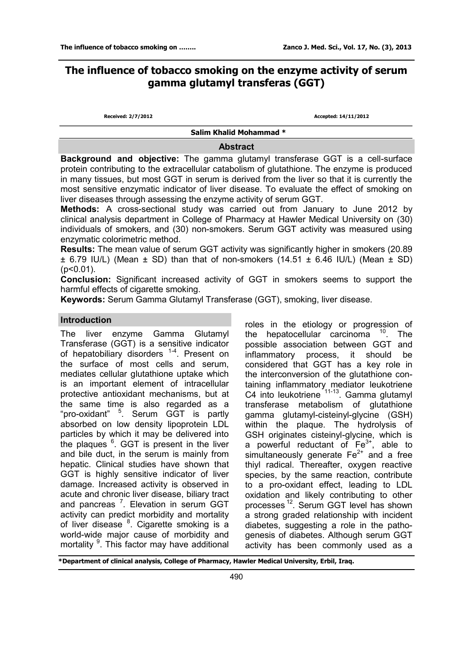# **The influence of tobacco smoking on the enzyme activity of serum gamma glutamyl transferas (GGT)**

**Received: 2/7/2012 Accepted: 14/11/2012** 

 **Salim Khalid Mohammad \*** 

#### **Abstract**

**Background and objective:** The gamma glutamyl transferase GGT is a cell-surface protein contributing to the extracellular catabolism of glutathione. The enzyme is produced in many tissues, but most GGT in serum is derived from the liver so that it is currently the most sensitive enzymatic indicator of liver disease. To evaluate the effect of smoking on liver diseases through assessing the enzyme activity of serum GGT.

**Methods:** A cross-sectional study was carried out from January to June 2012 by clinical analysis department in College of Pharmacy at Hawler Medical University on (30) individuals of smokers, and (30) non-smokers. Serum GGT activity was measured using enzymatic colorimetric method.

**Results:** The mean value of serum GGT activity was significantly higher in smokers (20.89  $\pm$  6.79 IU/L) (Mean  $\pm$  SD) than that of non-smokers (14.51  $\pm$  6.46 IU/L) (Mean  $\pm$  SD)  $(p<0.01)$ .

**Conclusion:** Significant increased activity of GGT in smokers seems to support the harmful effects of cigarette smoking.

**Keywords:** Serum Gamma Glutamyl Transferase (GGT), smoking, liver disease.

### **Introduction**

The liver enzyme Gamma Glutamyl Transferase (GGT) is a sensitive indicator of hepatobiliary disorders <sup>1-4</sup>. Present on the surface of most cells and serum, mediates cellular glutathione uptake which is an important element of intracellular protective antioxidant mechanisms, but at the same time is also regarded as a "pro-oxidant" <sup>5</sup>. Serum GGT is partly absorbed on low density lipoprotein LDL particles by which it may be delivered into the plaques <sup>6</sup>. GGT is present in the liver and bile duct, in the serum is mainly from hepatic. Clinical studies have shown that GGT is highly sensitive indicator of liver damage. Increased activity is observed in acute and chronic liver disease, biliary tract and pancreas<sup>7</sup>. Elevation in serum GGT activity can predict morbidity and mortality of liver disease <sup>8</sup>. Cigarette smoking is a world-wide major cause of morbidity and mortality <sup>9</sup>. This factor may have additional

roles in the etiology or progression of the hepatocellular carcinoma <sup>10</sup>. The possible association between GGT and inflammatory process, it should be considered that GGT has a key role in the interconversion of the glutathione containing inflammatory mediator leukotriene C4 into leukotriene<sup>11-13</sup>. Gamma glutamyl transferase metabolism of glutathione gamma glutamyl-cisteinyl-glycine (GSH) within the plaque. The hydrolysis of GSH originates cisteinyl-glycine, which is a powerful reductant of Fe<sup>3+</sup>, able to simultaneously generate  $Fe^{2+}$  and a free thiyl radical. Thereafter, oxygen reactive species, by the same reaction, contribute to a pro-oxidant effect, leading to LDL oxidation and likely contributing to other processes<sup>12</sup>. Serum GGT level has shown a strong graded relationship with incident diabetes, suggesting a role in the pathogenesis of diabetes. Although serum GGT activity has been commonly used as a

**\*Department of clinical analysis, College of Pharmacy, Hawler Medical University, Erbil, Iraq.**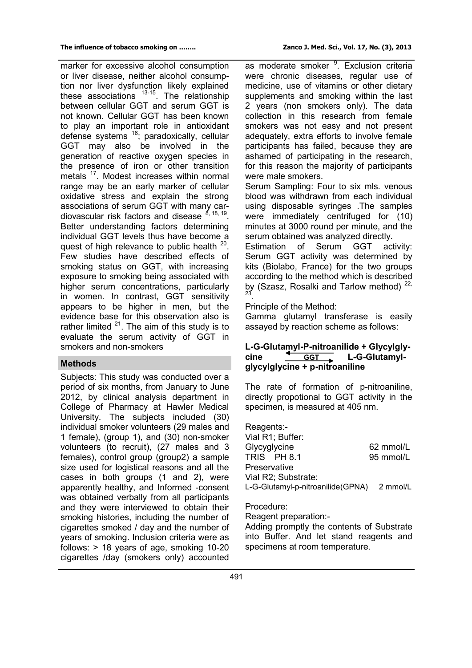marker for excessive alcohol consumption or liver disease, neither alcohol consumption nor liver dysfunction likely explained these associations  $13-15$ . The relationship between cellular GGT and serum GGT is not known. Cellular GGT has been known to play an important role in antioxidant defense systems <sup>16</sup>; paradoxically, cellular GGT may also be involved in the generation of reactive oxygen species in the presence of iron or other transition metals <sup>17</sup>. Modest increases within normal range may be an early marker of cellular oxidative stress and explain the strong associations of serum GGT with many cardiovascular risk factors and disease  $8,18,19$ . Better understanding factors determining individual GGT levels thus have become a quest of high relevance to public health <sup>20</sup>. Few studies have described effects of smoking status on GGT, with increasing exposure to smoking being associated with higher serum concentrations, particularly in women. In contrast, GGT sensitivity appears to be higher in men, but the evidence base for this observation also is rather limited  $21$ . The aim of this study is to evaluate the serum activity of GGT in smokers and non-smokers

## **Methods**

Subjects: This study was conducted over a period of six months, from January to June 2012, by clinical analysis department in College of Pharmacy at Hawler Medical University. The subjects included (30) individual smoker volunteers (29 males and 1 female), (group 1), and (30) non-smoker volunteers (to recruit), (27 males and 3 females), control group (group2) a sample size used for logistical reasons and all the cases in both groups (1 and 2), were apparently healthy, and Informed -consent was obtained verbally from all participants and they were interviewed to obtain their smoking histories, including the number of cigarettes smoked / day and the number of years of smoking. Inclusion criteria were as follows: > 18 years of age, smoking 10-20 cigarettes /day (smokers only) accounted

as moderate smoker <sup>9</sup>. Exclusion criteria were chronic diseases, regular use of medicine, use of vitamins or other dietary supplements and smoking within the last 2 years (non smokers only). The data collection in this research from female smokers was not easy and not present adequately, extra efforts to involve female participants has failed, because they are ashamed of participating in the research, for this reason the majority of participants were male smokers.

Serum Sampling: Four to six mls. venous blood was withdrawn from each individual using disposable syringes .The samples were immediately centrifuged for (10) minutes at 3000 round per minute, and the serum obtained was analyzed directly.

Estimation of Serum GGT activity: Serum GGT activity was determined by kits (Biolabo, France) for the two groups according to the method which is described by (Szasz, Rosalki and Tarlow method)<sup>22,</sup> 23 .

Principle of the Method:

Gamma glutamyl transferase is easily assayed by reaction scheme as follows:

### **L-G-Glutamyl-P-nitroanilide + Glycylgly**cine **CGT L-G-Glutamylglycylglycine + p-nitroaniline**

The rate of formation of p-nitroaniline, directly propotional to GGT activity in the specimen, is measured at 405 nm.

Reagents:- Vial R1; Buffer: Glycyglycine 62 mmol/L TRIS PH 8.1 95 mmol/L **Preservative** Vial R2; Substrate: L-G-Glutamyl-p-nitroanilide(GPNA) 2 mmol/L

Procedure:

Reagent preparation:-

Adding promptly the contents of Substrate into Buffer. And let stand reagents and specimens at room temperature.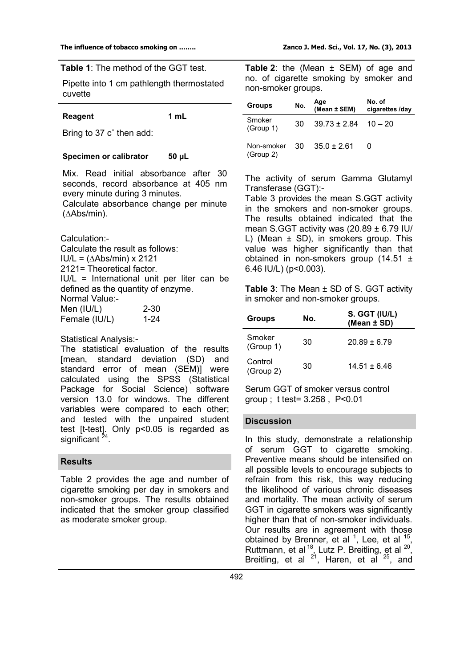**Table 1**: The method of the GGT test.

Pipette into 1 cm pathlength thermostated cuvette

#### **Reagent 1 mL**

Bring to 37 c˚ then add:

#### **Specimen or calibrator 50 µL**

Mix. Read initial absorbance after 30 seconds, record absorbance at 405 nm every minute during 3 minutes.

Calculate absorbance change per minute (∆Abs/min).

Calculation:-

Calculate the result as follows: IU/L = (∆Abs/min) x 2121 2121= Theoretical factor. IU/L = International unit per liter can be defined as the quantity of enzyme. Normal Value:- Men (IU/L) 2-30 Female (IU/L) 1-24

Statistical Analysis:-

The statistical evaluation of the results [mean, standard deviation (SD) and standard error of mean (SEM)] were calculated using the SPSS (Statistical Package for Social Science) software version 13.0 for windows. The different variables were compared to each other; and tested with the unpaired student test [t-test]. Only p<0.05 is regarded as significant<sup>24</sup>.

### **Results**

Table 2 provides the age and number of cigarette smoking per day in smokers and non-smoker groups. The results obtained indicated that the smoker group classified as moderate smoker group.

**Table 2**: the (Mean ± SEM) of age and no. of cigarette smoking by smoker and non-smoker groups.

| <b>Groups</b>              | No. | Age<br>(Mean ± SEM)      | No. of<br>cigarettes /day |
|----------------------------|-----|--------------------------|---------------------------|
| Smoker<br>(Group 1)        | 30  | $39.73 \pm 2.84$ 10 - 20 |                           |
| Non-smoker 30<br>(Group 2) |     | $35.0 \pm 2.61$          |                           |

The activity of serum Gamma Glutamyl Transferase (GGT):-

Table 3 provides the mean S.GGT activity in the smokers and non-smoker groups. The results obtained indicated that the mean S.GGT activity was  $(20.89 \pm 6.79 \text{ IU})$ L) (Mean ± SD), in smokers group. This value was higher significantly than that obtained in non-smokers group (14.51 ± 6.46 IU/L) (p<0.003).

**Table 3**: The Mean ± SD of S. GGT activity in smoker and non-smoker groups.

| <b>Groups</b>        | No. | S. GGT (IU/L)<br>(Mean ± SD) |
|----------------------|-----|------------------------------|
| Smoker<br>(Group 1)  | 30  | $20.89 \pm 6.79$             |
| Control<br>(Group 2) | 30  | $14.51 + 6.46$               |

Serum GGT of smoker versus control group ; t test= 3.258 , P<0.01

#### **Discussion**

In this study, demonstrate a relationship of serum GGT to cigarette smoking. Preventive means should be intensified on all possible levels to encourage subjects to refrain from this risk, this way reducing the likelihood of various chronic diseases and mortality. The mean activity of serum GGT in cigarette smokers was significantly higher than that of non-smoker individuals. Our results are in agreement with those obtained by Brenner, et al  $<sup>1</sup>$ , Lee, et al  $<sup>15</sup>$ ,</sup></sup> Ruttmann, et al  $^{18}$ , Lutz P. Breitling, et al  $^{20}$ , Breitling, et al  $21$ , Haren, et al  $25$ , and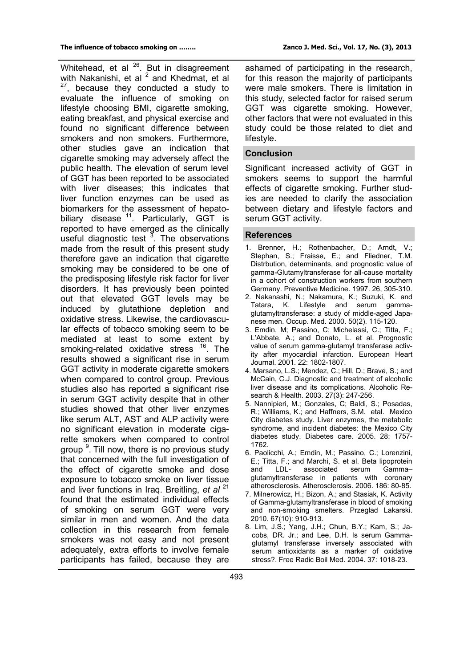Whitehead, et al  $^{26}$ . But in disagreement with Nakanishi, et al <sup>2</sup> and Khedmat, et al  $\frac{7}{2}$ , because they conducted a study to evaluate the influence of smoking on lifestyle choosing BMI, cigarette smoking, eating breakfast, and physical exercise and found no significant difference between smokers and non smokers. Furthermore, other studies gave an indication that cigarette smoking may adversely affect the public health. The elevation of serum level of GGT has been reported to be associated with liver diseases; this indicates that liver function enzymes can be used as biomarkers for the assessment of hepatobiliary disease <sup>11</sup>. Particularly, GGT is reported to have emerged as the clinically useful diagnostic test  $3$ . The observations made from the result of this present study therefore gave an indication that cigarette smoking may be considered to be one of the predisposing lifestyle risk factor for liver disorders. It has previously been pointed out that elevated GGT levels may be induced by glutathione depletion and oxidative stress. Likewise, the cardiovascular effects of tobacco smoking seem to be mediated at least to some extent by smoking-related oxidative stress <sup>16</sup>. The results showed a significant rise in serum GGT activity in moderate cigarette smokers when compared to control group. Previous studies also has reported a significant rise in serum GGT activity despite that in other studies showed that other liver enzymes like serum ALT, AST and ALP activity were no significant elevation in moderate cigarette smokers when compared to control group <sup>9</sup>. Till now, there is no previous study that concerned with the full investigation of the effect of cigarette smoke and dose exposure to tobacco smoke on liver tissue and liver functions in Iraq. Breitling, *et al* <sup>21</sup> found that the estimated individual effects of smoking on serum GGT were very similar in men and women. And the data collection in this research from female smokers was not easy and not present adequately, extra efforts to involve female participants has failed, because they are

ashamed of participating in the research, for this reason the majority of participants were male smokers. There is limitation in this study, selected factor for raised serum GGT was cigarette smoking. However, other factors that were not evaluated in this study could be those related to diet and lifestyle.

### **Conclusion**

Significant increased activity of GGT in smokers seems to support the harmful effects of cigarette smoking. Further studies are needed to clarify the association between dietary and lifestyle factors and serum GGT activity.

#### **References**

- 1. Brenner, H.; Rothenbacher, D.; Arndt, V.; Stephan, S.; Fraisse, E.; and Fliedner, T.M. Distrbution, determinants, and prognostic value of gamma-Glutamyltransferase for all-cause mortality in a cohort of construction workers from southern Germany. Preventive Medicine. 1997. 26, 305-310.
- 2. Nakanashi, N.; Nakamura, K.; Suzuki, K. and Tatara, K. Lifestyle and serum gammaglutamyltransferase: a study of middle-aged Japanese men. Occup. Med. 2000. 50(2). 115-120.
- 3. Emdin, M; Passino, C; Michelassi, C.; Titta, F.; L'Abbate, A.; and Donato, L. et al. Prognostic value of serum gamma-glutamyl transferase activity after myocardial infarction. European Heart Journal. 2001. 22: 1802-1807.
- 4. Marsano, L.S.; Mendez, C.; Hill, D.; Brave, S.; and McCain, C.J. Diagnostic and treatment of alcoholic liver disease and its complications. Alcoholic Research & Health. 2003. 27(3): 247-256.
- 5. Nannipieri, M.; Gonzales, C; Baldi, S.; Posadas, R.; Williams, K.; and Haffners, S.M. etal. Mexico City diabetes study. Liver enzymes, the metabolic syndrome, and incident diabetes: the Mexico City diabetes study. Diabetes care. 2005. 28: 1757- 1762.
- 6. Paolicchi, A.; Emdin, M.; Passino, C.; Lorenzini, E.; Titta, F.; and Marchi, S. et al. Beta lipoprotein and LDL- associated serum Gamma– glutamyltransferase in patients with coronary atherosclerosis. Atherosclerosis. 2006. 186: 80-85.
- 7. Milnerowicz, H.; Bizon, A.; and Stasiak, K. Activity of Gamma-glutamyltransferase in blood of smoking and non-smoking smelters. Przeglad Lakarski. 2010. 67(10): 910-913.
- 8. Lim, J.S.; Yang, J.H.; Chun, B.Y.; Kam, S.; Jacobs, DR. Jr.; and Lee, D.H. Is serum Gammaglutamyl transferase inversely associated with serum antioxidants as a marker of oxidative stress?. Free Radic Boil Med. 2004. 37: 1018-23.